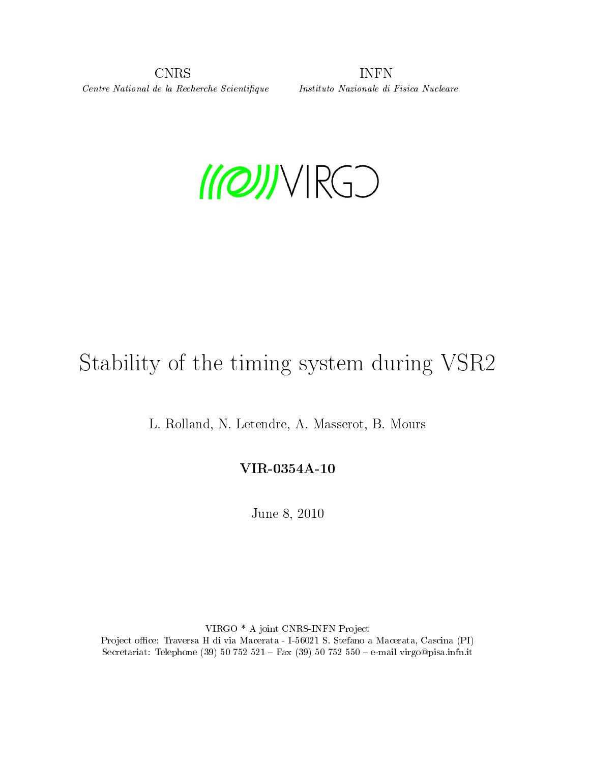CNRS INFN Centre National de la Recherche Scientique Instituto Nazionale di Fisica Nucleare



# Stability of the timing system during VSR2

L. Rolland, N. Letendre, A. Masserot, B. Mours

### VIR-0354A-10

June 8, 2010

VIRGO \* A joint CNRS-INFN Project Project office: Traversa H di via Macerata - I-56021 S. Stefano a Macerata, Cascina (PI) Secretariat: Telephone (39) 50 752 521 - Fax (39) 50 752 550 - e-mail virgo@pisa.infn.it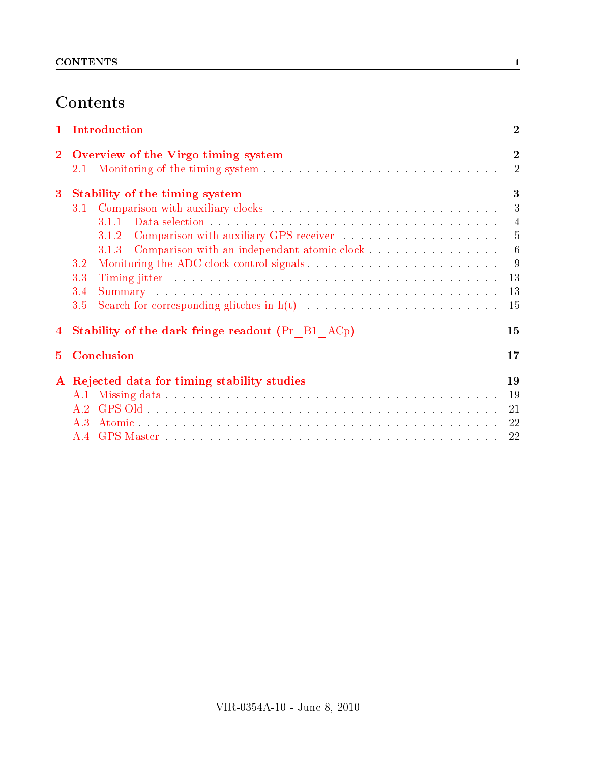# **Contents**

| $\mathbf{1}$ | Introduction                                                                                                                                                                                                                          |                            |  |  |  |  |  |
|--------------|---------------------------------------------------------------------------------------------------------------------------------------------------------------------------------------------------------------------------------------|----------------------------|--|--|--|--|--|
| $\mathbf{2}$ | Overview of the Virgo timing system<br>2.1                                                                                                                                                                                            | $\bf{2}$<br>$\overline{2}$ |  |  |  |  |  |
| $\bf{3}$     | Stability of the timing system                                                                                                                                                                                                        | 3                          |  |  |  |  |  |
|              | 3.1                                                                                                                                                                                                                                   | 3                          |  |  |  |  |  |
|              | 3.1.1                                                                                                                                                                                                                                 | $\overline{4}$             |  |  |  |  |  |
|              | 3.1.2                                                                                                                                                                                                                                 | 5                          |  |  |  |  |  |
|              | Comparison with an independant atomic clock<br>3.1.3                                                                                                                                                                                  | $6\phantom{.}6$            |  |  |  |  |  |
|              | 3.2                                                                                                                                                                                                                                   | 9                          |  |  |  |  |  |
|              | 3.3                                                                                                                                                                                                                                   | 13                         |  |  |  |  |  |
|              | Summary and the contract of the contract of the contract of the contract of the contract of the contract of the contract of the contract of the contract of the contract of the contract of the contract of the contract of th<br>3.4 | 13                         |  |  |  |  |  |
|              | 3.5                                                                                                                                                                                                                                   | 15                         |  |  |  |  |  |
| 4            | <b>Stability of the dark fringe readout (Pr</b> B1 AC <sub>p</sub> )<br>15                                                                                                                                                            |                            |  |  |  |  |  |
| 5            | Conclusion<br>17                                                                                                                                                                                                                      |                            |  |  |  |  |  |
|              | A Rejected data for timing stability studies                                                                                                                                                                                          | 19                         |  |  |  |  |  |
|              |                                                                                                                                                                                                                                       | 19                         |  |  |  |  |  |
|              | A $2$                                                                                                                                                                                                                                 | 21                         |  |  |  |  |  |
|              | $A_3$                                                                                                                                                                                                                                 | 22                         |  |  |  |  |  |
|              | A 4                                                                                                                                                                                                                                   | 22                         |  |  |  |  |  |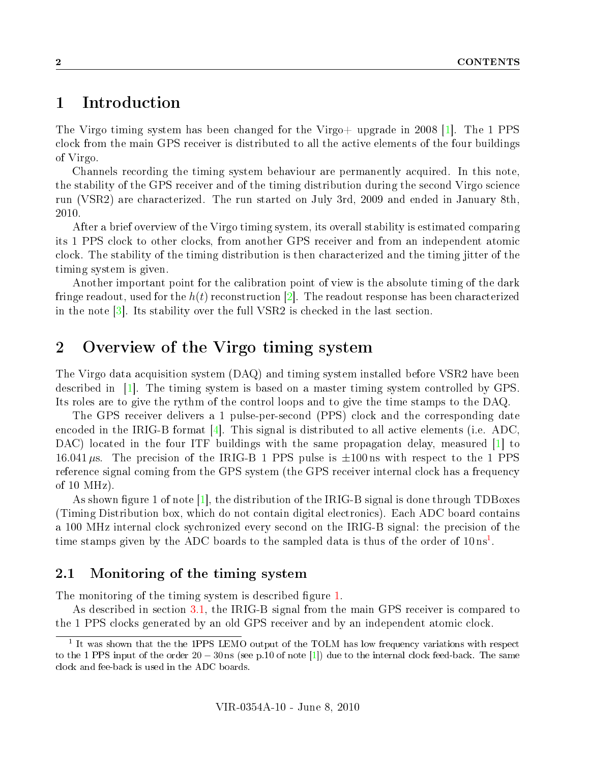## <span id="page-2-0"></span>1 Introduction

The Virgo timing system has been changed for the Virgo+ upgrade in 2008 [\[1\]](#page-18-0). The 1 PPS clock from the main GPS receiver is distributed to all the active elements of the four buildings of Virgo.

Channels recording the timing system behaviour are permanently acquired. In this note, the stability of the GPS receiver and of the timing distribution during the second Virgo science run (VSR2) are characterized. The run started on July 3rd, 2009 and ended in January 8th, 2010.

After a brief overview of the Virgo timing system, its overall stability is estimated comparing its 1 PPS clock to other clocks, from another GPS receiver and from an independent atomic clock. The stability of the timing distribution is then characterized and the timing jitter of the timing system is given.

Another important point for the calibration point of view is the absolute timing of the dark fringe readout, used for the  $h(t)$  reconstruction [\[2\]](#page-18-1). The readout response has been characterized in the note  $\left|3\right|$ . Its stability over the full VSR2 is checked in the last section.

# <span id="page-2-1"></span>2 Overview of the Virgo timing system

The Virgo data acquisition system (DAQ) and timing system installed before VSR2 have been described in [\[1\]](#page-18-0). The timing system is based on a master timing system controlled by GPS. Its roles are to give the rythm of the control loops and to give the time stamps to the DAQ.

The GPS receiver delivers a 1 pulse-per-second (PPS) clock and the corresponding date encoded in the IRIG-B format  $[4]$ . This signal is distributed to all active elements (i.e. ADC, DAC) located in the four ITF buildings with the same propagation delay, measured [\[1\]](#page-18-0) to 16.041  $\mu$ s. The precision of the IRIG-B 1 PPS pulse is  $\pm 100 \text{ ns}$  with respect to the 1 PPS reference signal coming from the GPS system (the GPS receiver internal clock has a frequency of 10 MHz).

As shown figure 1 of note  $[1]$ , the distribution of the IRIG-B signal is done through TDBoxes (Timing Distribution box, which do not contain digital electronics). Each ADC board contains a 100 MHz internal clock sychronized every second on the IRIG-B signal: the precision of the time stamps given by the ADC boards to the sampled data is thus of the order of  $10 \text{ ns}^1$  $10 \text{ ns}^1$ .

#### <span id="page-2-2"></span>2.1 Monitoring of the timing system

The monitoring of the timing system is described figure [1.](#page-3-2)

As described in section [3.1,](#page-3-1) the IRIG-B signal from the main GPS receiver is compared to the 1 PPS clocks generated by an old GPS receiver and by an independent atomic clock.

<span id="page-2-3"></span><sup>&</sup>lt;sup>1</sup> It was shown that the the 1PPS LEMO output of the TOLM has low frequency variations with respect to the 1 PPS input of the order 20 − 30 ns (see p.10 of note [\[1\]](#page-18-0)) due to the internal clock feed-back. The same clock and fee-back is used in the ADC boards.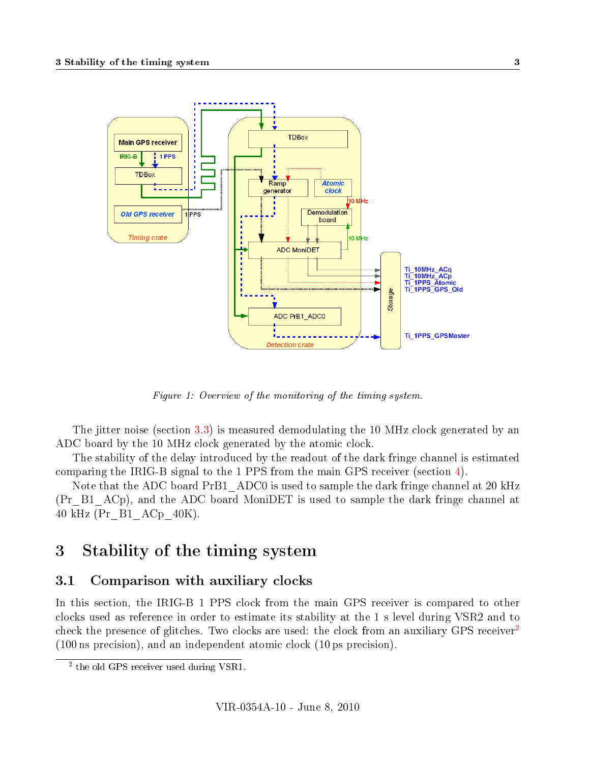

<span id="page-3-2"></span>Figure 1: Overview of the monitoring of the timing system.

The jitter noise (section [3.3\)](#page-13-0) is measured demodulating the 10 MHz clock generated by an ADC board by the 10 MHz clock generated by the atomic clock.

The stability of the delay introduced by the readout of the dark fringe channel is estimated comparing the IRIG-B signal to the 1 PPS from the main GPS receiver (section [4\)](#page-15-1).

Note that the ADC board PrB1 ADC0 is used to sample the dark fringe channel at 20 kHz (Pr\_B1\_ACp), and the ADC board MoniDET is used to sample the dark fringe channel at 40 kHz (Pr\_B1\_ACp\_40K).

# <span id="page-3-0"></span>3 Stability of the timing system

#### <span id="page-3-1"></span>3.1 Comparison with auxiliary clocks

In this section, the IRIG-B 1 PPS clock from the main GPS receiver is compared to other clocks used as reference in order to estimate its stability at the 1 s level during VSR2 and to check the presence of glitches. Two clocks are used: the clock from an auxiliary GPS receiver (100 ns precision), and an independent atomic clock (10 ps precision).

<span id="page-3-3"></span><sup>&</sup>lt;sup>2</sup> the old GPS receiver used during VSR1.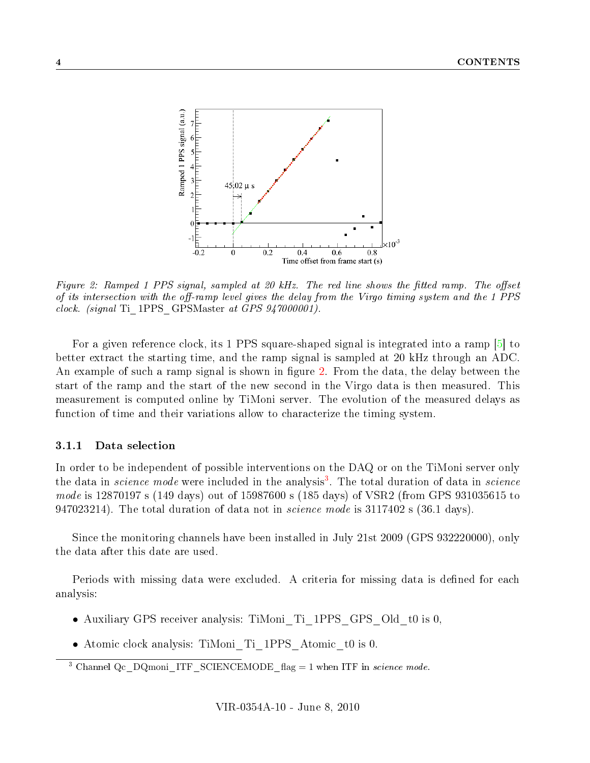

<span id="page-4-1"></span>Figure 2: Ramped 1 PPS signal, sampled at 20 kHz. The red line shows the fitted ramp. The offset of its intersection with the off-ramp level gives the delay from the Virgo timing system and the 1 PPS clock. (signal Ti\_1PPS\_GPSMaster at GPS 947000001).

For a given reference clock, its 1 PPS square-shaped signal is integrated into a ramp [\[5\]](#page-18-4) to better extract the starting time, and the ramp signal is sampled at 20 kHz through an ADC. An example of such a ramp signal is shown in figure [2.](#page-4-1) From the data, the delay between the start of the ramp and the start of the new second in the Virgo data is then measured. This measurement is computed online by TiMoni server. The evolution of the measured delays as function of time and their variations allow to characterize the timing system.

#### <span id="page-4-0"></span>3.1.1 Data selection

In order to be independent of possible interventions on the DAQ or on the TiMoni server only the data in *science mode* were included in the analysis<sup>[3](#page-4-2)</sup>. The total duration of data in *science* mode is 12870197 s (149 days) out of 15987600 s (185 days) of VSR2 (from GPS 931035615 to 947023214). The total duration of data not in *science mode* is 3117402 s (36.1 days).

Since the monitoring channels have been installed in July 21st 2009 (GPS 932220000), only the data after this date are used.

Periods with missing data were excluded. A criteria for missing data is defined for each analysis:

- Auxiliary GPS receiver analysis: TiMoni Ti 1PPS GPS Old t0 is 0,
- Atomic clock analysis: TiMoni\_Ti\_1PPS\_Atomic\_t0 is 0.

<span id="page-4-2"></span><sup>&</sup>lt;sup>3</sup> Channel Qc DQmoni\_ITF\_SCIENCEMODE\_flag = 1 when ITF in science mode.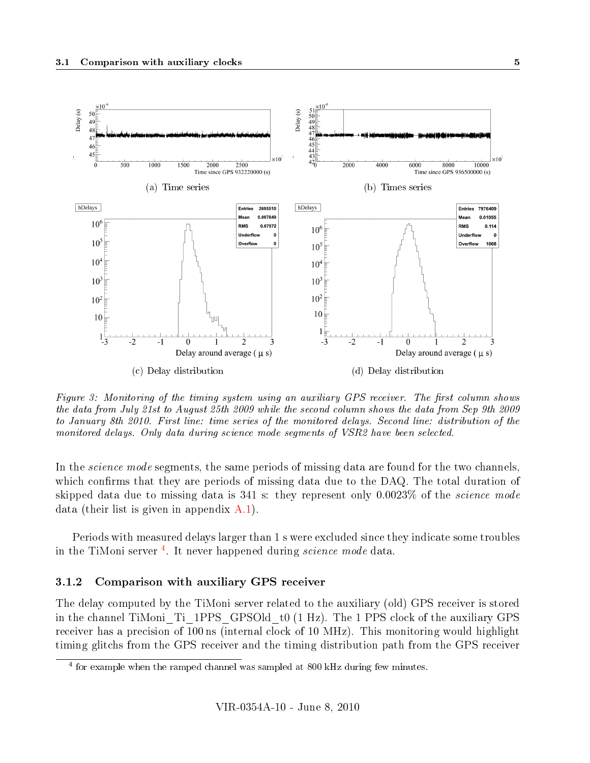

<span id="page-5-2"></span>Figure 3: Monitoring of the timing system using an auxiliary GPS receiver. The first column shows the data from July 21st to August 25th 2009 while the second column shows the data from Sep 9th 2009 to January 8th 2010. First line: time series of the monitored delays. Second line: distribution of the monitored delays. Only data during science mode segments of VSR2 have been selected.

In the *science mode* segments, the same periods of missing data are found for the two channels. which confirms that they are periods of missing data due to the DAQ. The total duration of skipped data due to missing data is  $341$  s: they represent only  $0.0023\%$  of the *science mode* data (their list is given in appendix [A.1\)](#page-19-1).

Periods with measured delays larger than 1 s were excluded since they indicate some troubles in the TiMoni server<sup>[4](#page-5-1)</sup>. It never happened during *science mode* data.

#### <span id="page-5-0"></span>3.1.2 Comparison with auxiliary GPS receiver

The delay computed by the TiMoni server related to the auxiliary (old) GPS receiver is stored in the channel TiMoni\_Ti\_1PPS\_GPSOld\_t0 (1 Hz). The 1 PPS clock of the auxiliary GPS receiver has a precision of 100 ns (internal clock of 10 MHz). This monitoring would highlight timing glitchs from the GPS receiver and the timing distribution path from the GPS receiver

<span id="page-5-1"></span><sup>&</sup>lt;sup>4</sup> for example when the ramped channel was sampled at 800 kHz during few minutes.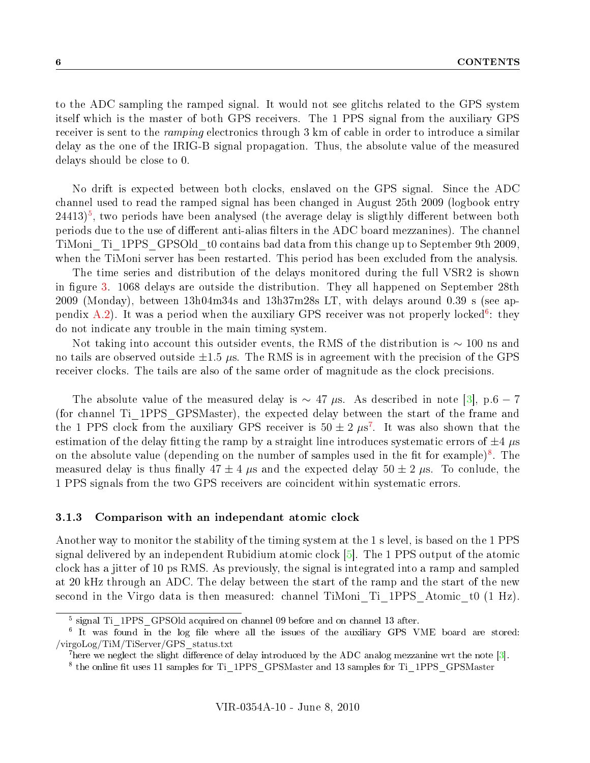to the ADC sampling the ramped signal. It would not see glitchs related to the GPS system itself which is the master of both GPS receivers. The 1 PPS signal from the auxiliary GPS receiver is sent to the *ramping* electronics through 3 km of cable in order to introduce a similar delay as the one of the IRIG-B signal propagation. Thus, the absolute value of the measured delays should be close to 0.

No drift is expected between both clocks, enslaved on the GPS signal. Since the ADC channel used to read the ramped signal has been changed in August 25th 2009 (logbook entry  $24413$ <sup>[5](#page-6-1)</sup>, two periods have been analysed (the average delay is sligthly different between both periods due to the use of different anti-alias filters in the ADC board mezzanines). The channel TiMoni\_Ti\_1PPS\_GPSOld\_t0 contains bad data from this change up to September 9th 2009, when the TiMoni server has been restarted. This period has been excluded from the analysis.

The time series and distribution of the delays monitored during the full VSR2 is shown in figure [3.](#page-5-2) 1068 delays are outside the distribution. They all happened on September 28th 2009 (Monday), between 13h04m34s and 13h37m28s LT, with delays around 0.39 s (see ap-pendix [A.2\)](#page-21-0). It was a period when the auxiliary GPS receiver was not properly locked<sup>[6](#page-6-2)</sup>: they do not indicate any trouble in the main timing system.

Not taking into account this outsider events, the RMS of the distribution is  $\sim 100$  ns and no tails are observed outside  $\pm 1.5 \mu s$ . The RMS is in agreement with the precision of the GPS receiver clocks. The tails are also of the same order of magnitude as the clock precisions.

The absolute value of the measured delay is  $\sim 47 \mu s$ . As described in note [\[3\]](#page-18-2), p.6 − 7 (for channel Ti\_1PPS\_GPSMaster), the expected delay between the start of the frame and the 1 PPS clock from the auxiliary GPS receiver is  $50 \pm 2 \ \mu s^7$  $50 \pm 2 \ \mu s^7$ . It was also shown that the estimation of the delay fitting the ramp by a straight line introduces systematic errors of  $\pm 4$   $\mu$ s on the absolute value (depending on the number of samples used in the fit for example)<sup>[8](#page-6-4)</sup>. The measured delay is thus finally  $47 \pm 4 \mu s$  and the expected delay  $50 \pm 2 \mu s$ . To conlude, the 1 PPS signals from the two GPS receivers are coincident within systematic errors.

#### <span id="page-6-0"></span>3.1.3 Comparison with an independant atomic clock

Another way to monitor the stability of the timing system at the 1 s level, is based on the 1 PPS signal delivered by an independent Rubidium atomic clock [\[5\]](#page-18-4). The 1 PPS output of the atomic clock has a jitter of 10 ps RMS. As previously, the signal is integrated into a ramp and sampled at 20 kHz through an ADC. The delay between the start of the ramp and the start of the new second in the Virgo data is then measured: channel TiMoni Ti 1PPS Atomic to  $(1 Hz)$ .

<span id="page-6-2"></span><span id="page-6-1"></span><sup>&</sup>lt;sup>5</sup> signal Ti\_1PPS\_GPSOld acquired on channel 09 before and on channel 13 after.

 $\overline{6}$  It was found in the log file where all the issues of the auxiliary GPS VME board are stored: /virgoLog/TiM/TiServer/GPS\_status.txt

<span id="page-6-3"></span><sup>&</sup>lt;sup>7</sup>here we neglect the slight difference of delay introduced by the ADC analog mezzanine wrt the note  $[3]$ .

<span id="page-6-4"></span><sup>&</sup>lt;sup>8</sup> the online fit uses 11 samples for Ti\_1PPS\_GPSMaster and 13 samples for Ti\_1PPS\_GPSMaster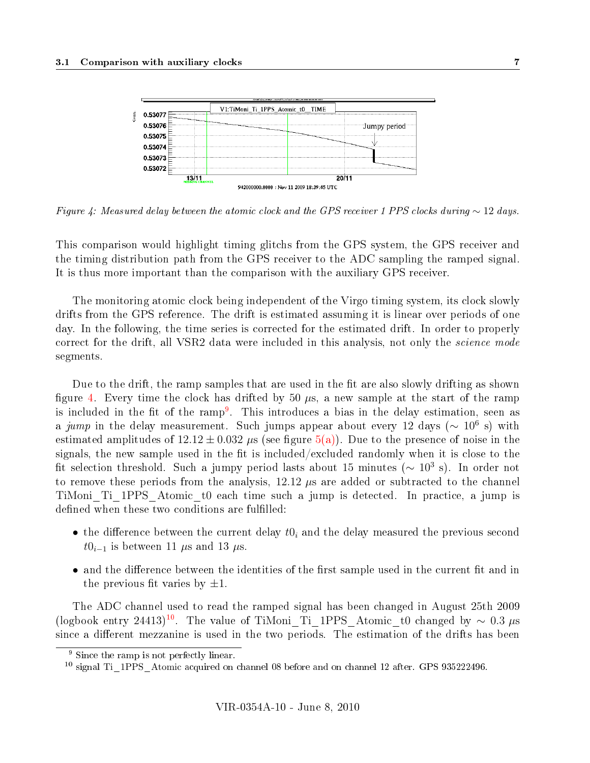

<span id="page-7-0"></span>Figure 4: Measured delay between the atomic clock and the GPS receiver 1 PPS clocks during  $\sim$  12 days.

This comparison would highlight timing glitchs from the GPS system, the GPS receiver and the timing distribution path from the GPS receiver to the ADC sampling the ramped signal. It is thus more important than the comparison with the auxiliary GPS receiver.

The monitoring atomic clock being independent of the Virgo timing system, its clock slowly drifts from the GPS reference. The drift is estimated assuming it is linear over periods of one day. In the following, the time series is corrected for the estimated drift. In order to properly correct for the drift, all VSR2 data were included in this analysis, not only the *science mode* segments.

Due to the drift, the ramp samples that are used in the fit are also slowly drifting as shown figure [4.](#page-7-0) Every time the clock has drifted by 50  $\mu$ s, a new sample at the start of the ramp is included in the fit of the ramp<sup>[9](#page-7-1)</sup>. This introduces a bias in the delay estimation, seen as a jump in the delay measurement. Such jumps appear about every 12 days ( $\sim 10^6$  s) with estimated amplitudes of  $12.12 \pm 0.032$   $\mu$ s (see figure [5\(a\)\)](#page-8-0). Due to the presence of noise in the signals, the new sample used in the fit is included/excluded randomly when it is close to the fit selection threshold. Such a jumpy period lasts about 15 minutes ( $\sim 10^3$  s). In order not to remove these periods from the analysis,  $12.12 \mu s$  are added or subtracted to the channel TiMoni\_Ti\_1PPS\_Atomic\_t0 each time such a jump is detected. In practice, a jump is defined when these two conditions are fulfilled:

- the difference between the current delay  $t0<sub>i</sub>$  and the delay measured the previous second  $t0_{i-1}$  is between 11 µs and 13 µs.
- and the difference between the identities of the first sample used in the current fit and in the previous fit varies by  $\pm 1$ .

The ADC channel used to read the ramped signal has been changed in August 25th 2009 (logbook entry 24413)<sup>[10](#page-7-2)</sup>. The value of TiMoni Ti 1PPS Atomic t0 changed by  $\sim 0.3 \mu s$ since a different mezzanine is used in the two periods. The estimation of the drifts has been

<span id="page-7-1"></span><sup>9</sup> Since the ramp is not perfectly linear.

<span id="page-7-2"></span><sup>&</sup>lt;sup>10</sup> signal Ti 1PPS Atomic acquired on channel 08 before and on channel 12 after. GPS 935222496.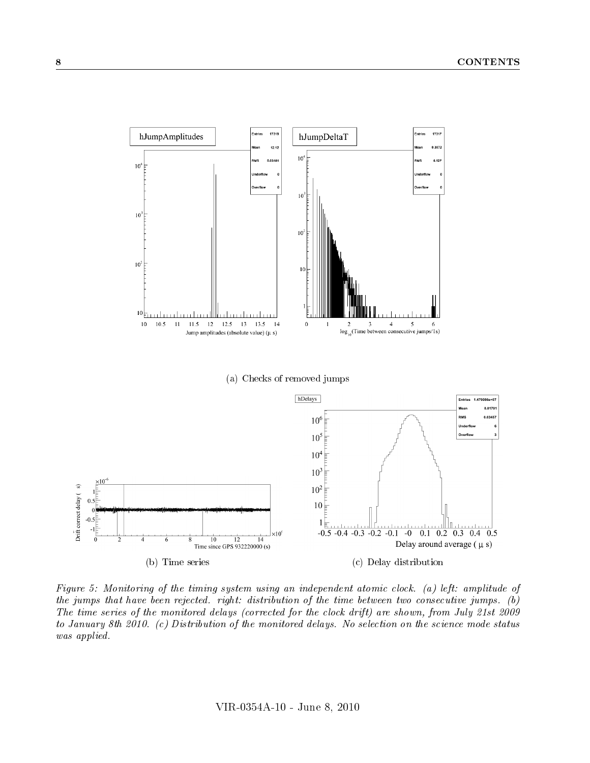<span id="page-8-0"></span>

<span id="page-8-2"></span><span id="page-8-1"></span>Figure 5: Monitoring of the timing system using an independent atomic clock. (a) left: amplitude of the jumps that have been rejected. right: distribution of the time between two consecutive jumps. (b) The time series of the monitored delays (corrected for the clock drift) are shown, from July 21st 2009 to January 8th 2010. (c) Distribution of the monitored delays. No selection on the science mode status was applied.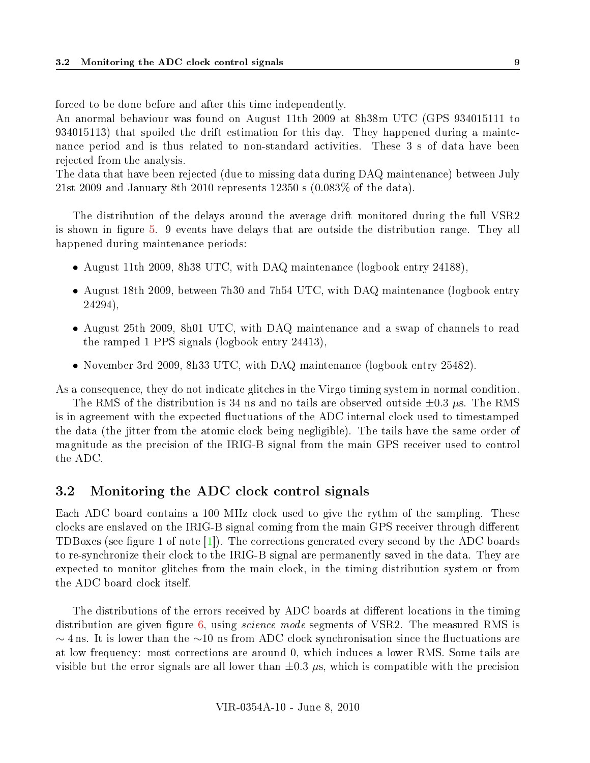forced to be done before and after this time independently.

An anormal behaviour was found on August 11th 2009 at 8h38m UTC (GPS 934015111 to 934015113) that spoiled the drift estimation for this day. They happened during a maintenance period and is thus related to non-standard activities. These 3 s of data have been rejected from the analysis.

The data that have been rejected (due to missing data during DAQ maintenance) between July 21st 2009 and January 8th 2010 represents 12350 s (0.083% of the data).

The distribution of the delays around the average drift monitored during the full VSR2 is shown in figure [5.](#page-8-1) 9 events have delays that are outside the distribution range. They all happened during maintenance periods:

- August 11th 2009, 8h38 UTC, with DAQ maintenance (logbook entry 24188),
- August 18th 2009, between 7h30 and 7h54 UTC, with DAQ maintenance (logbook entry 24294),
- August 25th 2009, 8h01 UTC, with DAQ maintenance and a swap of channels to read the ramped 1 PPS signals (logbook entry 24413),
- November 3rd 2009, 8h33 UTC, with DAQ maintenance (logbook entry 25482).

As a consequence, they do not indicate glitches in the Virgo timing system in normal condition. The RMS of the distribution is 34 ns and no tails are observed outside  $\pm 0.3 \mu$ s. The RMS

is in agreement with the expected fluctuations of the ADC internal clock used to timestamped the data (the jitter from the atomic clock being negligible). The tails have the same order of magnitude as the precision of the IRIG-B signal from the main GPS receiver used to control the ADC.

#### <span id="page-9-0"></span>3.2 Monitoring the ADC clock control signals

Each ADC board contains a 100 MHz clock used to give the rythm of the sampling. These clocks are enslaved on the IRIG-B signal coming from the main GPS receiver through different TDBoxes (see figure 1 of note  $|1|$ ). The corrections generated every second by the ADC boards to re-synchronize their clock to the IRIG-B signal are permanently saved in the data. They are expected to monitor glitches from the main clock, in the timing distribution system or from the ADC board clock itself.

The distributions of the errors received by ADC boards at different locations in the timing distribution are given figure  $6$ , using *science mode* segments of VSR2. The measured RMS is  $\sim$  4 ns. It is lower than the  $\sim$ 10 ns from ADC clock synchronisation since the fluctuations are at low frequency: most corrections are around 0, which induces a lower RMS. Some tails are visible but the error signals are all lower than  $\pm 0.3 \mu s$ , which is compatible with the precision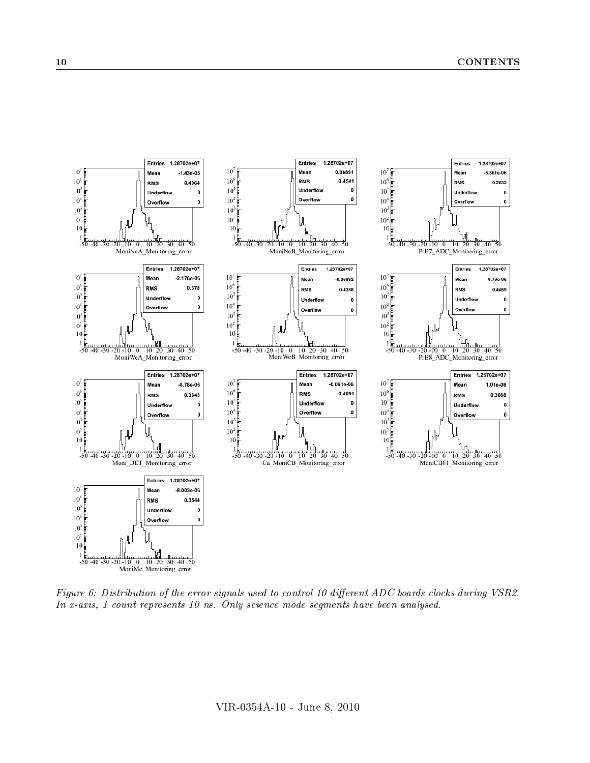

<span id="page-10-0"></span>Figure 6: Distribution of the error signals used to control 10 different ADC boards clocks during VSR2. In x-axis, 1 count represents 10 ns. Only science mode segments have been analysed.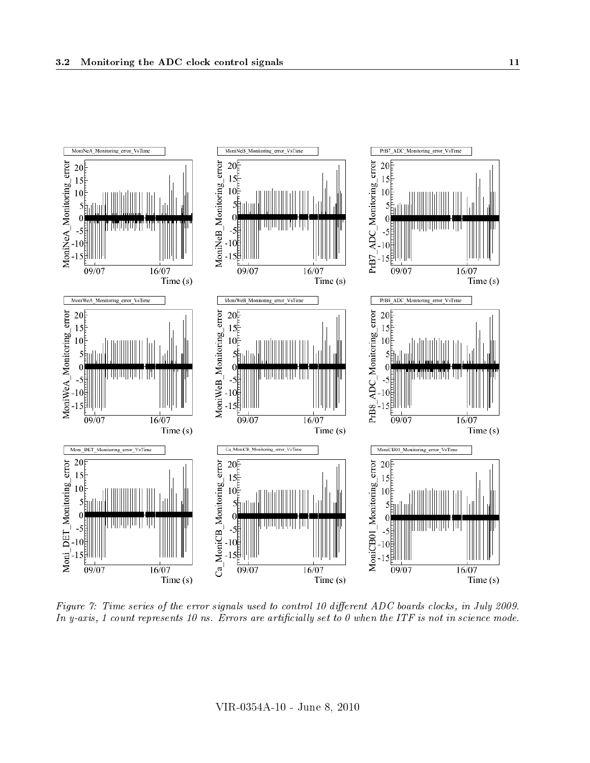

<span id="page-11-0"></span>Figure 7: Time series of the error signals used to control 10 different ADC boards clocks, in July 2009. In y-axis, 1 count represents 10 ns. Errors are artificially set to 0 when the ITF is not in science mode.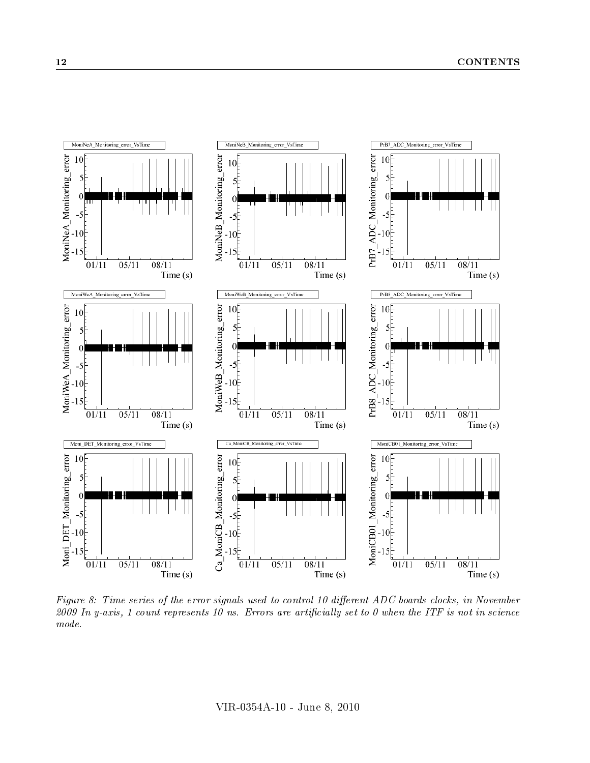

<span id="page-12-0"></span>Figure 8: Time series of the error signals used to control 10 different ADC boards clocks, in November 2009 In y-axis, 1 count represents 10 ns. Errors are artificially set to 0 when the ITF is not in science mode.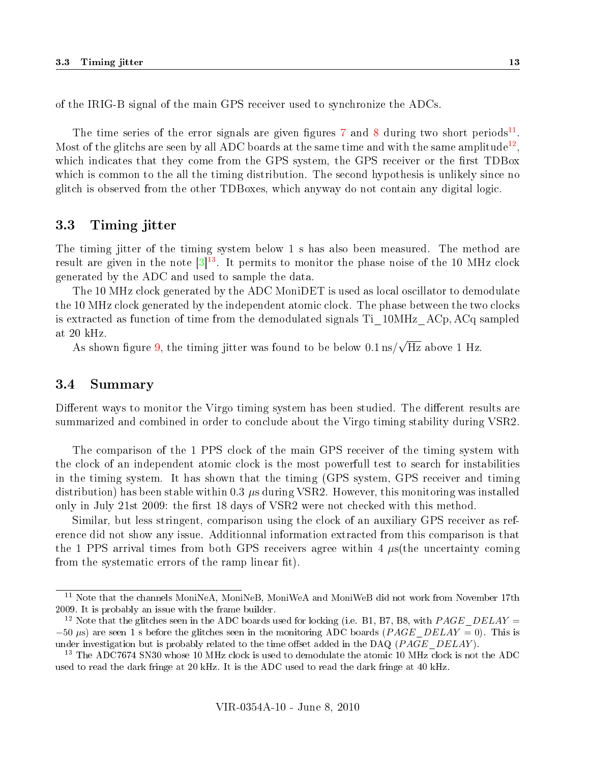of the IRIG-B signal of the main GPS receiver used to synchronize the ADCs.

The time series of the error signals are given figures [7](#page-11-0) and [8](#page-12-0) during two short periods<sup>[11](#page-13-2)</sup>. Most of the glitchs are seen by all ADC boards at the same time and with the same amplitude<sup>[12](#page-13-3)</sup>, which indicates that they come from the GPS system, the GPS receiver or the first TDBox which is common to the all the timing distribution. The second hypothesis is unlikely since no glitch is observed from the other TDBoxes, which anyway do not contain any digital logic.

#### <span id="page-13-0"></span>3.3 Timing jitter

The timing jitter of the timing system below 1 s has also been measured. The method are result are given in the note  $\left[3\right]^{13}$  $\left[3\right]^{13}$  $\left[3\right]^{13}$ . It permits to monitor the phase noise of the 10 MHz clock generated by the ADC and used to sample the data.

The 10 MHz clock generated by the ADC MoniDET is used as local oscillator to demodulate the 10 MHz clock generated by the independent atomic clock. The phase between the two clocks is extracted as function of time from the demodulated signals Ti\_10MHz\_ACp, ACq sampled at 20 kHz. √

As shown figure [9,](#page-14-0) the timing jitter was found to be below  $0.1 \text{ ns/s}$ Hz above 1 Hz.

#### <span id="page-13-1"></span>3.4 Summary

Different ways to monitor the Virgo timing system has been studied. The different results are summarized and combined in order to conclude about the Virgo timing stability during VSR2.

The comparison of the 1 PPS clock of the main GPS receiver of the timing system with the clock of an independent atomic clock is the most powerfull test to search for instabilities in the timing system. It has shown that the timing (GPS system, GPS receiver and timing distribution) has been stable within 0.3  $\mu$ s during VSR2. However, this monitoring was installed only in July 21st 2009: the first 18 days of VSR2 were not checked with this method.

Similar, but less stringent, comparison using the clock of an auxiliary GPS receiver as reference did not show any issue. Additionnal information extracted from this comparison is that the 1 PPS arrival times from both GPS receivers agree within 4  $\mu$ s(the uncertainty coming from the systematic errors of the ramp linear fit).

<span id="page-13-2"></span><sup>&</sup>lt;sup>11</sup> Note that the channels MoniNeA, MoniNeB, MoniWeA and MoniWeB did not work from November 17th 2009. It is probably an issue with the frame builder.

<span id="page-13-3"></span><sup>&</sup>lt;sup>12</sup> Note that the glitches seen in the ADC boards used for locking (i.e. B1, B7, B8, with PAGE DELAY =  $-50 \mu s$ ) are seen 1 s before the glitches seen in the monitoring ADC boards (PAGE DELAY = 0). This is under investigation but is probably related to the time offset added in the DAQ ( $PAGE$  DELAY).

<span id="page-13-4"></span><sup>&</sup>lt;sup>13</sup> The ADC7674 SN30 whose 10 MHz clock is used to demodulate the atomic 10 MHz clock is not the ADC used to read the dark fringe at 20 kHz. It is the ADC used to read the dark fringe at 40 kHz.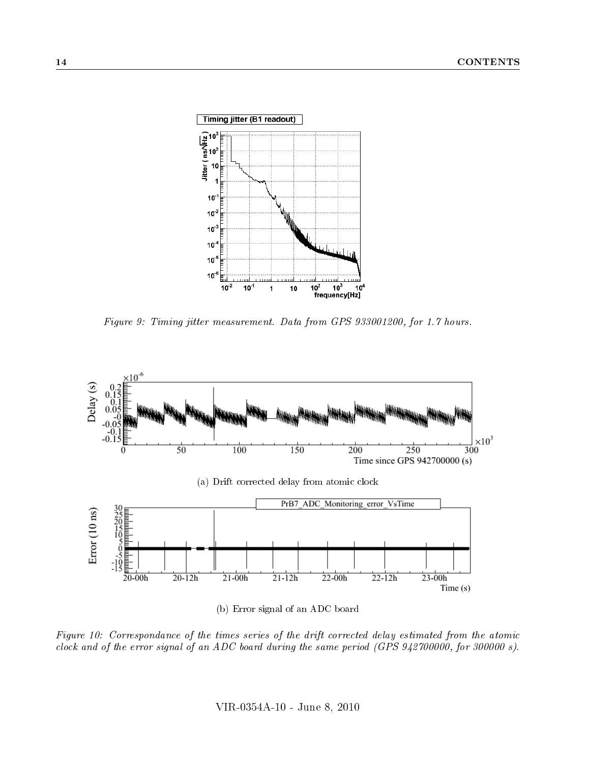

<span id="page-14-0"></span>Figure 9: Timing jitter measurement. Data from GPS 933001200, for 1.7 hours.



(b) Error signal of an ADC board

<span id="page-14-1"></span>Figure 10: Correspondance of the times series of the drift corrected delay estimated from the atomic clock and of the error signal of an ADC board during the same period (GPS 942700000, for 300000 s).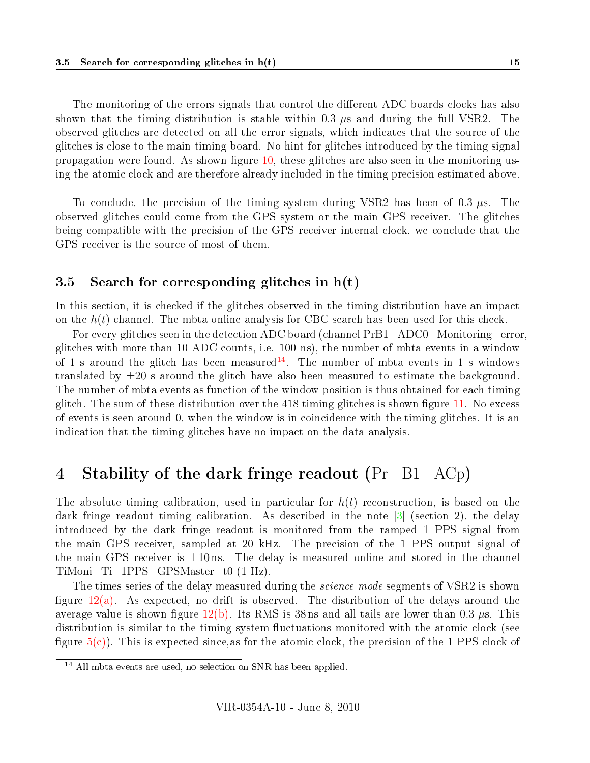The monitoring of the errors signals that control the different ADC boards clocks has also shown that the timing distribution is stable within 0.3  $\mu$ s and during the full VSR2. The observed glitches are detected on all the error signals, which indicates that the source of the glitches is close to the main timing board. No hint for glitches introduced by the timing signal propagation were found. As shown figure  $10$ , these glitches are also seen in the monitoring using the atomic clock and are therefore already included in the timing precision estimated above.

To conclude, the precision of the timing system during VSR2 has been of 0.3  $\mu$ s. The observed glitches could come from the GPS system or the main GPS receiver. The glitches being compatible with the precision of the GPS receiver internal clock, we conclude that the GPS receiver is the source of most of them.

#### <span id="page-15-0"></span>3.5 Search for corresponding glitches in  $h(t)$

In this section, it is checked if the glitches observed in the timing distribution have an impact on the  $h(t)$  channel. The mbta online analysis for CBC search has been used for this check.

For every glitches seen in the detection ADC board (channel PrB1 ADC0 Monitoring error, glitches with more than 10 ADC counts, i.e. 100 ns), the number of mbta events in a window of 1 s around the glitch has been measured<sup>[14](#page-15-2)</sup>. The number of mbta events in 1 s windows translated by  $\pm 20$  s around the glitch have also been measured to estimate the background. The number of mbta events as function of the window position is thus obtained for each timing glitch. The sum of these distribution over the 418 timing glitches is shown figure  $11$ . No excess of events is seen around 0, when the window is in coincidence with the timing glitches. It is an indication that the timing glitches have no impact on the data analysis.

# <span id="page-15-1"></span>4 Stability of the dark fringe readout (Pr B1 ACp)

The absolute timing calibration, used in particular for  $h(t)$  reconstruction, is based on the dark fringe readout timing calibration. As described in the note  $|3|$  (section 2), the delay introduced by the dark fringe readout is monitored from the ramped 1 PPS signal from the main GPS receiver, sampled at 20 kHz. The precision of the 1 PPS output signal of the main GPS receiver is  $\pm 10 \text{ ns}$ . The delay is measured online and stored in the channel TiMoni\_Ti\_1PPS\_GPSMaster\_t0 (1 Hz).

The times series of the delay measured during the *science mode* segments of VSR2 is shown figure  $12(a)$ . As expected, no drift is observed. The distribution of the delays around the average value is shown figure [12\(b\).](#page-16-2) Its RMS is 38 ns and all tails are lower than 0.3  $\mu$ s. This distribution is similar to the timing system fluctuations monitored with the atomic clock (see figure  $5(c)$ ). This is expected since, as for the atomic clock, the precision of the 1 PPS clock of

<span id="page-15-2"></span><sup>14</sup> All mbta events are used, no selection on SNR has been applied.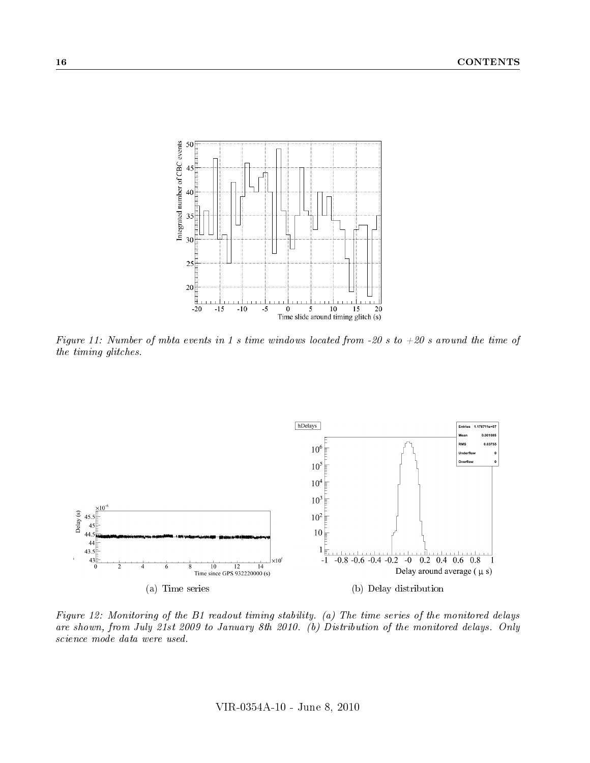

<span id="page-16-0"></span>Figure 11: Number of mbta events in 1 s time windows located from -20 s to  $+20$  s around the time of the timing glitches.

<span id="page-16-1"></span>

<span id="page-16-2"></span>Figure 12: Monitoring of the B1 readout timing stability. (a) The time series of the monitored delays are shown, from July 21st 2009 to January 8th 2010. (b) Distribution of the monitored delays. Only science mode data were used.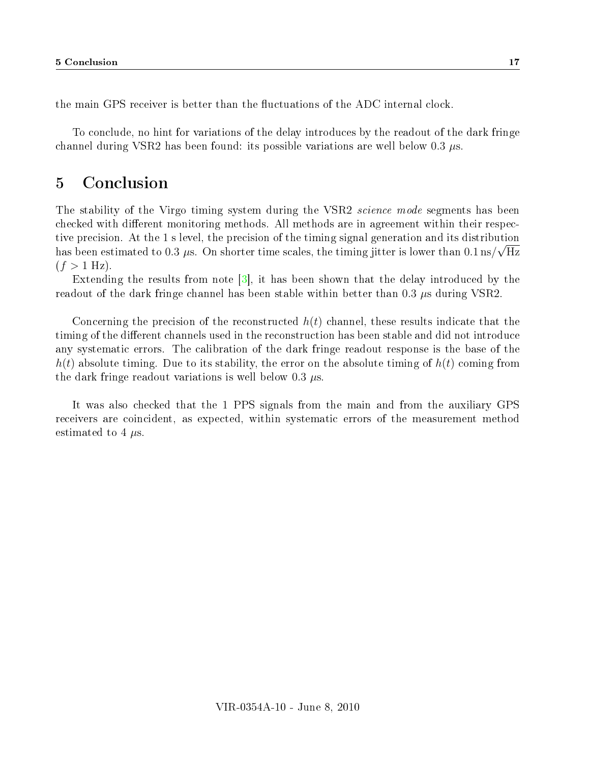the main GPS receiver is better than the fluctuations of the ADC internal clock.

To conclude, no hint for variations of the delay introduces by the readout of the dark fringe channel during VSR2 has been found: its possible variations are well below 0.3 µs.

# <span id="page-17-0"></span>5 Conclusion

The stability of the Virgo timing system during the VSR2 science mode segments has been checked with different monitoring methods. All methods are in agreement within their respective precision. At the 1 s level, the precision of the timing signal generation and its distribution has been estimated to 0.3  $\mu$ s. On shorter time scales, the timing jitter is lower than 0.1 ns/ $\sqrt{\text{Hz}}$  $(f > 1$  Hz).

Extending the results from note [\[3\]](#page-18-2), it has been shown that the delay introduced by the readout of the dark fringe channel has been stable within better than  $0.3 \mu s$  during VSR2.

Concerning the precision of the reconstructed  $h(t)$  channel, these results indicate that the timing of the different channels used in the reconstruction has been stable and did not introduce any systematic errors. The calibration of the dark fringe readout response is the base of the  $h(t)$  absolute timing. Due to its stability, the error on the absolute timing of  $h(t)$  coming from the dark fringe readout variations is well below  $0.3 \mu s$ .

It was also checked that the 1 PPS signals from the main and from the auxiliary GPS receivers are coincident, as expected, within systematic errors of the measurement method estimated to 4  $\mu$ s.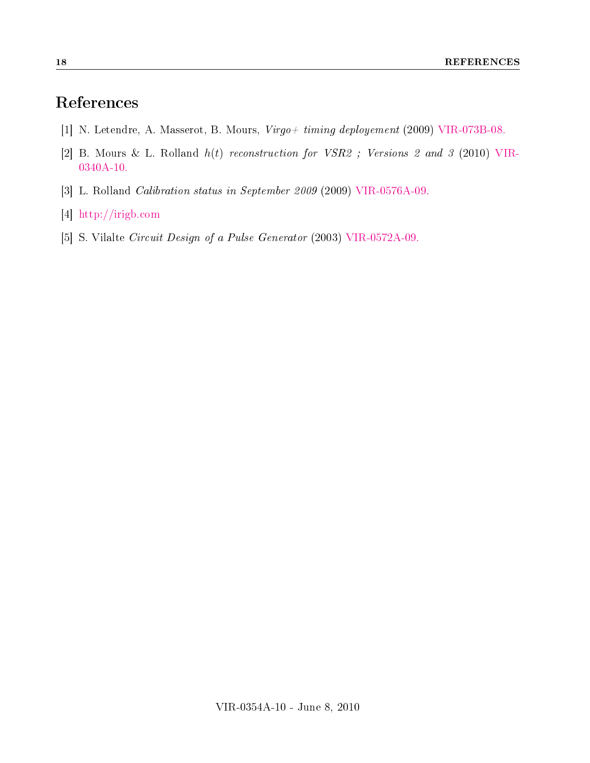# References

- <span id="page-18-0"></span>[1] N. Letendre, A. Masserot, B. Mours, Virgo+ timing deployement (2009) [VIR-073B-08.](https://pub3.ego-gw.it/itf/tds/index.php?callContent=2&callCode=2181&srchCode=VIR-073B-08&startPage=)
- <span id="page-18-1"></span>[2] B. Mours & L. Rolland  $h(t)$  reconstruction for VSR2; Versions 2 and 3 (2010) [VIR-](https://pub3.ego-gw.it/itf/tds/index.php?callContent=2&callCode=7688&srchCode=VIR-0340A-10&startPage=)[0340A-10.](https://pub3.ego-gw.it/itf/tds/index.php?callContent=2&callCode=7688&srchCode=VIR-0340A-10&startPage=)
- <span id="page-18-2"></span>[3] L. Rolland Calibration status in September 2009 (2009) [VIR-0576A-09.](https://pub3.ego-gw.it/itf/tds/index.php?callContent=2&callCode=7002&srchCode=VIR-0576A-09&startPage=)
- <span id="page-18-3"></span>[4] http://[irigb.com](http://irigb.com)
- <span id="page-18-4"></span>[5] S. Vilalte Circuit Design of a Pulse Generator (2003) [VIR-0572A-09.](https://pub3.ego-gw.it/itf/tds/index.php?callContent=2&callCode=6998&srchCode=VIR-0572A-09&startPage=)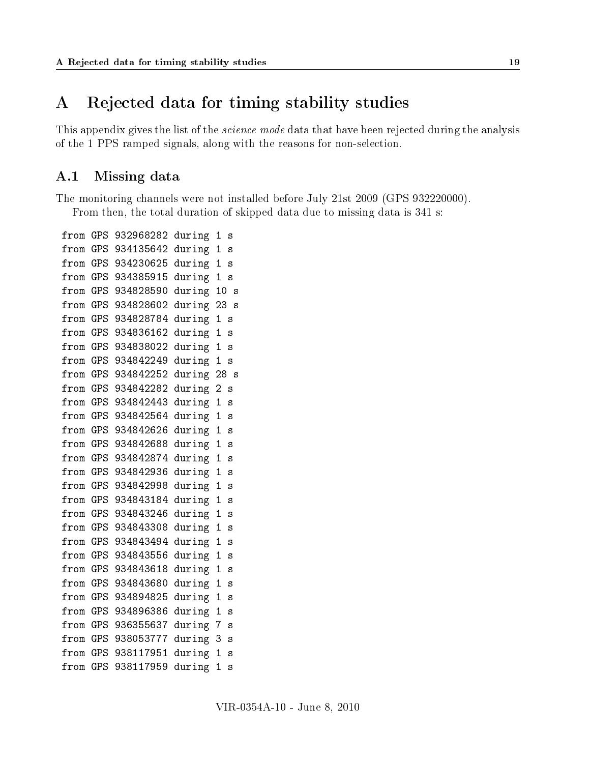# <span id="page-19-0"></span>A Rejected data for timing stability studies

This appendix gives the list of the *science mode* data that have been rejected during the analysis of the 1 PPS ramped signals, along with the reasons for non-selection.

### <span id="page-19-1"></span>A.1 Missing data

The monitoring channels were not installed before July 21st 2009 (GPS 932220000). From then, the total duration of skipped data due to missing data is 341 s:

from GPS 932968282 during 1 s from GPS 934135642 during 1 s from GPS 934230625 during 1 s from GPS 934385915 during 1 s from GPS 934828590 during 10 s from GPS 934828602 during 23 s from GPS 934828784 during 1 s from GPS 934836162 during 1 s from GPS 934838022 during 1 s from GPS 934842249 during 1 s from GPS 934842252 during 28 s from GPS 934842282 during 2 s from GPS 934842443 during 1 s from GPS 934842564 during 1 s from GPS 934842626 during 1 s from GPS 934842688 during 1 s from GPS 934842874 during 1 s from GPS 934842936 during 1 s from GPS 934842998 during 1 s from GPS 934843184 during 1 s from GPS 934843246 during 1 s from GPS 934843308 during 1 s from GPS 934843494 during 1 s from GPS 934843556 during 1 s from GPS 934843618 during 1 s from GPS 934843680 during 1 s from GPS 934894825 during 1 s from GPS 934896386 during 1 s from GPS 936355637 during 7 s from GPS 938053777 during 3 s from GPS 938117951 during 1 s from GPS 938117959 during 1 s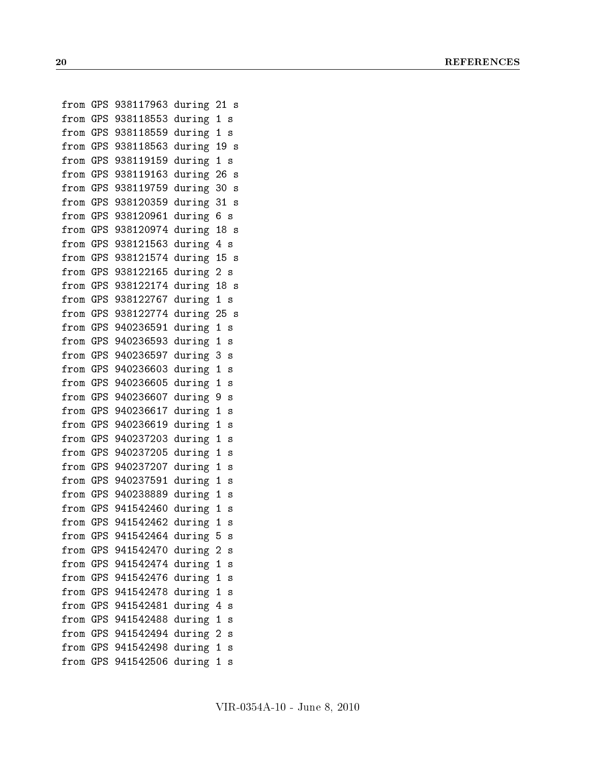```
from GPS 938117963 during 21 s
from GPS 938118553 during 1 s
from GPS 938118559 during 1 s
from GPS 938118563 during 19 s
from GPS 938119159 during 1 s
from GPS 938119163 during 26 s
from GPS 938119759 during 30 s
from GPS 938120359 during 31 s
from GPS 938120961 during 6 s
from GPS 938120974 during 18 s
from GPS 938121563 during 4 s
from GPS 938121574 during 15 s
from GPS 938122165 during 2 s
from GPS 938122174 during 18 s
from GPS 938122767 during 1 s
from GPS 938122774 during 25 s
from GPS 940236591 during 1 s
from GPS 940236593 during 1 s
from GPS 940236597 during 3 s
from GPS 940236603 during 1 s
from GPS 940236605 during 1 s
from GPS 940236607 during 9 s
from GPS 940236617 during 1 s
from GPS 940236619 during 1 s
from GPS 940237203 during 1 s
from GPS 940237205 during 1 s
from GPS 940237207 during 1 s
from GPS 940237591 during 1 s
from GPS 940238889 during 1 s
from GPS 941542460 during 1 s
from GPS 941542462 during 1 s
from GPS 941542464 during 5 s
from GPS 941542470 during 2 s
from GPS 941542474 during 1 s
from GPS 941542476 during 1 s
from GPS 941542478 during 1 s
from GPS 941542481 during 4 s
from GPS 941542488 during 1 s
from GPS 941542494 during 2 s
from GPS 941542498 during 1 s
from GPS 941542506 during 1 s
```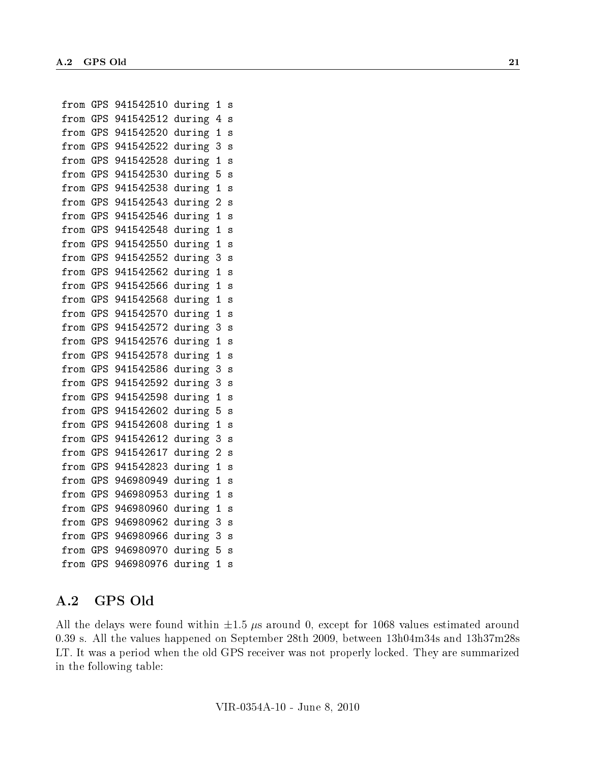from GPS 941542510 during 1 s from GPS 941542512 during 4 s from GPS 941542520 during 1 s from GPS 941542522 during 3 s from GPS 941542528 during 1 s from GPS 941542530 during 5 s from GPS 941542538 during 1 s from GPS 941542543 during 2 s from GPS 941542546 during 1 s from GPS 941542548 during 1 s from GPS 941542550 during 1 s from GPS 941542552 during 3 s from GPS 941542562 during 1 s from GPS 941542566 during 1 s from GPS 941542568 during 1 s from GPS 941542570 during 1 s from GPS 941542572 during 3 s from GPS 941542576 during 1 s from GPS 941542578 during 1 s from GPS 941542586 during 3 s from GPS 941542592 during 3 s from GPS 941542598 during 1 s from GPS 941542602 during 5 s from GPS 941542608 during 1 s from GPS 941542612 during 3 s from GPS 941542617 during 2 s from GPS 941542823 during 1 s from GPS 946980949 during 1 s from GPS 946980953 during 1 s from GPS 946980960 during 1 s from GPS 946980962 during 3 s from GPS 946980966 during 3 s from GPS 946980970 during 5 s from GPS 946980976 during 1 s

#### <span id="page-21-0"></span>A.2 GPS Old

All the delays were found within  $\pm 1.5 \mu s$  around 0, except for 1068 values estimated around 0.39 s. All the values happened on September 28th 2009, between 13h04m34s and 13h37m28s LT. It was a period when the old GPS receiver was not properly locked. They are summarized in the following table: